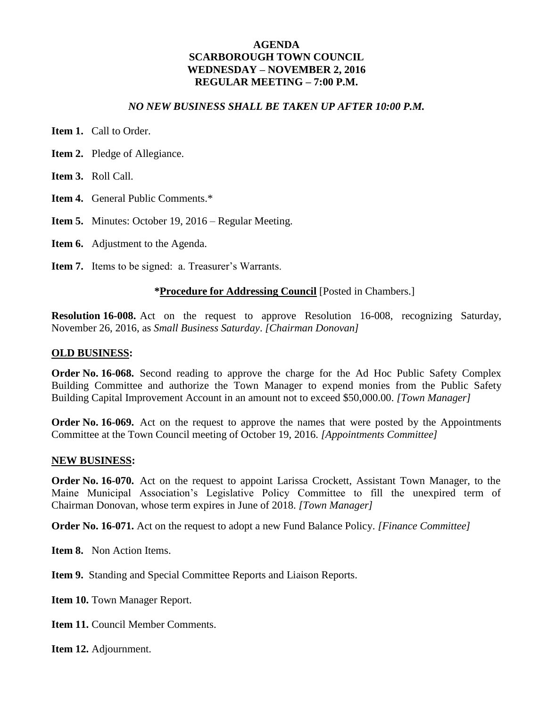#### *NO NEW BUSINESS SHALL BE TAKEN UP AFTER 10:00 P.M.*

- **Item 1.** Call to Order.
- **Item 2.** Pledge of Allegiance.
- **Item 3.** Roll Call.
- **Item 4.** General Public Comments.\*
- **Item 5.** Minutes: October 19, 2016 Regular Meeting.
- **Item 6.** Adjustment to the Agenda.
- **Item 7.** Items to be signed: a. Treasurer's Warrants.

#### **\*Procedure for Addressing Council** [Posted in Chambers.]

**Resolution 16-008.** Act on the request to approve Resolution 16-008, recognizing Saturday, November 26, 2016, as *Small Business Saturday*. *[Chairman Donovan]*

#### **OLD BUSINESS:**

**Order No. 16-068.** Second reading to approve the charge for the Ad Hoc Public Safety Complex Building Committee and authorize the Town Manager to expend monies from the Public Safety Building Capital Improvement Account in an amount not to exceed \$50,000.00. *[Town Manager]*

**Order No. 16-069.** Act on the request to approve the names that were posted by the Appointments Committee at the Town Council meeting of October 19, 2016. *[Appointments Committee]*

#### **NEW BUSINESS:**

**Order No. 16-070.** Act on the request to appoint Larissa Crockett, Assistant Town Manager, to the Maine Municipal Association's Legislative Policy Committee to fill the unexpired term of Chairman Donovan, whose term expires in June of 2018. *[Town Manager]*

**Order No. 16-071.** Act on the request to adopt a new Fund Balance Policy. *[Finance Committee]*

**Item 8.** Non Action Items.

**Item 9.** Standing and Special Committee Reports and Liaison Reports.

Item 10. Town Manager Report.

**Item 11. Council Member Comments.** 

**Item 12.** Adjournment.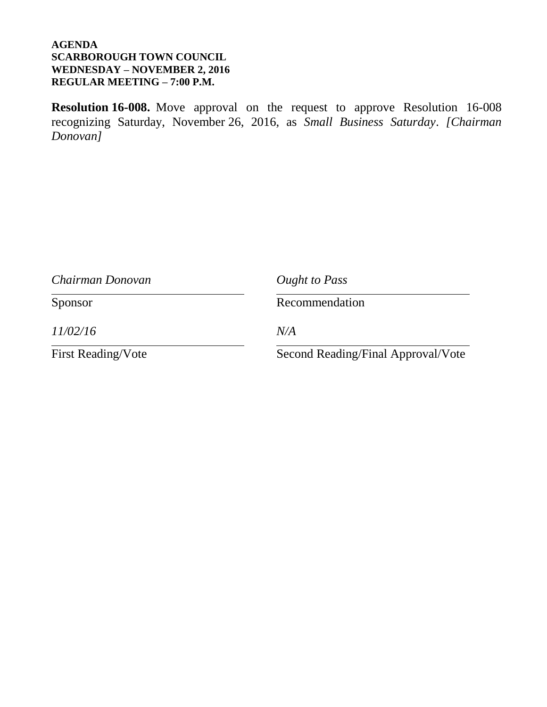**Resolution 16-008.** Move approval on the request to approve Resolution 16-008 recognizing Saturday, November 26, 2016, as *Small Business Saturday*. *[Chairman Donovan]*

| Chairman Donovan          | Ought to Pass                      |  |  |  |  |  |
|---------------------------|------------------------------------|--|--|--|--|--|
| Sponsor                   | Recommendation                     |  |  |  |  |  |
| 11/02/16                  | N/A                                |  |  |  |  |  |
| <b>First Reading/Vote</b> | Second Reading/Final Approval/Vote |  |  |  |  |  |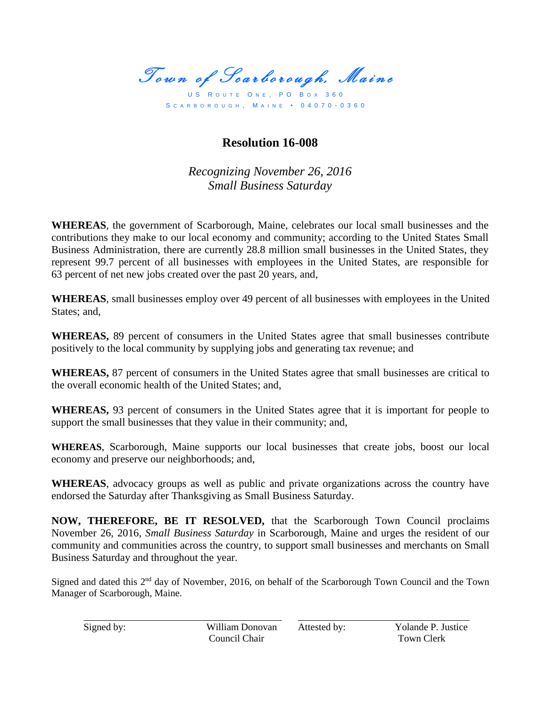Town of Scarborough, Maine

US ROUTE ONE, PO BOX 360 S C A R B O R O U G H , M A I N E • 0 4 0 7 0 - 0 3 6 0

### **Resolution 16-008**

*Recognizing November 26, 2016 Small Business Saturday*

**WHEREAS**, the government of Scarborough, Maine, celebrates our local small businesses and the contributions they make to our local economy and community; according to the United States Small Business Administration, there are currently 28.8 million small businesses in the United States, they represent 99.7 percent of all businesses with employees in the United States, are responsible for 63 percent of net new jobs created over the past 20 years, and,

**WHEREAS**, small businesses employ over 49 percent of all businesses with employees in the United States: and.

**WHEREAS,** 89 percent of consumers in the United States agree that small businesses contribute positively to the local community by supplying jobs and generating tax revenue; and

**WHEREAS,** 87 percent of consumers in the United States agree that small businesses are critical to the overall economic health of the United States; and,

**WHEREAS,** 93 percent of consumers in the United States agree that it is important for people to support the small businesses that they value in their community; and,

**WHEREAS**, Scarborough, Maine supports our local businesses that create jobs, boost our local economy and preserve our neighborhoods; and,

**WHEREAS**, advocacy groups as well as public and private organizations across the country have endorsed the Saturday after Thanksgiving as Small Business Saturday.

**NOW, THEREFORE, BE IT RESOLVED,** that the Scarborough Town Council proclaims November 26, 2016, *Small Business Saturday* in Scarborough, Maine and urges the resident of our community and communities across the country, to support small businesses and merchants on Small Business Saturday and throughout the year.

Signed and dated this 2<sup>nd</sup> day of November, 2016, on behalf of the Scarborough Town Council and the Town Manager of Scarborough, Maine.

Signed by: William Donovan Attested by: Yolande P. Justice Council Chair Town Clerk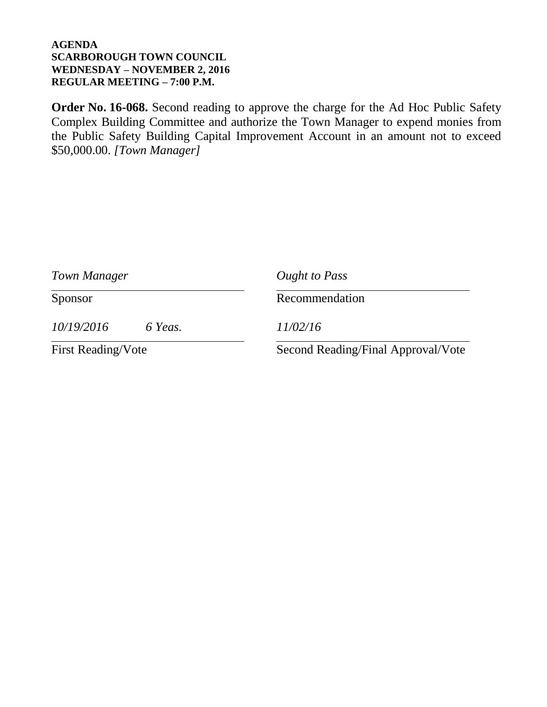**Order No. 16-068.** Second reading to approve the charge for the Ad Hoc Public Safety Complex Building Committee and authorize the Town Manager to expend monies from the Public Safety Building Capital Improvement Account in an amount not to exceed \$50,000.00. *[Town Manager]*

| Town Manager              |         | Ought to Pass                      |  |  |  |  |  |
|---------------------------|---------|------------------------------------|--|--|--|--|--|
| Sponsor                   |         | Recommendation                     |  |  |  |  |  |
| 10/19/2016                | 6 Yeas. | 11/02/16                           |  |  |  |  |  |
| <b>First Reading/Vote</b> |         | Second Reading/Final Approval/Vote |  |  |  |  |  |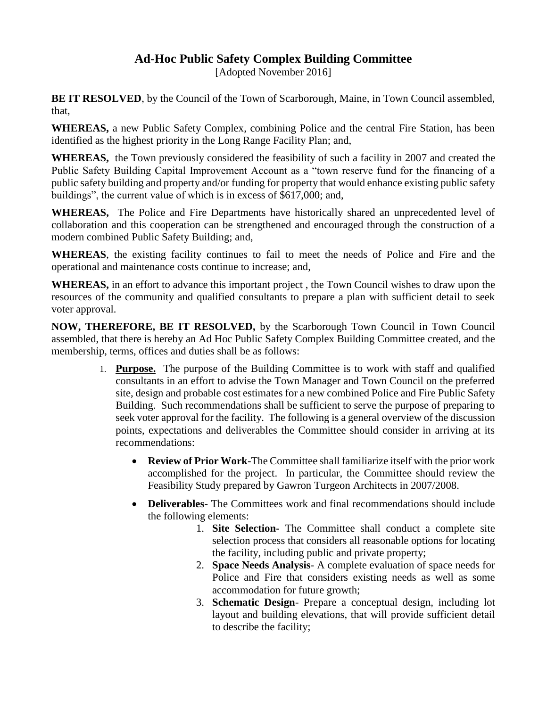### **Ad-Hoc Public Safety Complex Building Committee**

[Adopted November 2016]

**BE IT RESOLVED**, by the Council of the Town of Scarborough, Maine, in Town Council assembled, that,

**WHEREAS,** a new Public Safety Complex, combining Police and the central Fire Station, has been identified as the highest priority in the Long Range Facility Plan; and,

**WHEREAS,** the Town previously considered the feasibility of such a facility in 2007 and created the Public Safety Building Capital Improvement Account as a "town reserve fund for the financing of a public safety building and property and/or funding for property that would enhance existing public safety buildings", the current value of which is in excess of \$617,000; and,

**WHEREAS,** The Police and Fire Departments have historically shared an unprecedented level of collaboration and this cooperation can be strengthened and encouraged through the construction of a modern combined Public Safety Building; and,

**WHEREAS**, the existing facility continues to fail to meet the needs of Police and Fire and the operational and maintenance costs continue to increase; and,

**WHEREAS,** in an effort to advance this important project , the Town Council wishes to draw upon the resources of the community and qualified consultants to prepare a plan with sufficient detail to seek voter approval.

**NOW, THEREFORE, BE IT RESOLVED,** by the Scarborough Town Council in Town Council assembled, that there is hereby an Ad Hoc Public Safety Complex Building Committee created, and the membership, terms, offices and duties shall be as follows:

- 1. **Purpose.** The purpose of the Building Committee is to work with staff and qualified consultants in an effort to advise the Town Manager and Town Council on the preferred site, design and probable cost estimates for a new combined Police and Fire Public Safety Building. Such recommendations shall be sufficient to serve the purpose of preparing to seek voter approval for the facility. The following is a general overview of the discussion points, expectations and deliverables the Committee should consider in arriving at its recommendations:
	- **Review of Prior Work**-The Committee shall familiarize itself with the prior work accomplished for the project. In particular, the Committee should review the Feasibility Study prepared by Gawron Turgeon Architects in 2007/2008.
	- **Deliverables-** The Committees work and final recommendations should include the following elements:
		- 1. **Site Selection-** The Committee shall conduct a complete site selection process that considers all reasonable options for locating the facility, including public and private property;
		- 2. **Space Needs Analysis** A complete evaluation of space needs for Police and Fire that considers existing needs as well as some accommodation for future growth;
		- 3. **Schematic Design** Prepare a conceptual design, including lot layout and building elevations, that will provide sufficient detail to describe the facility;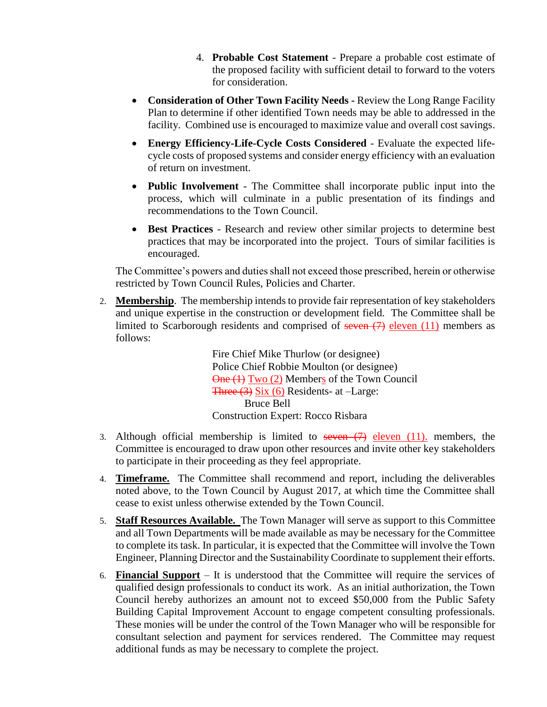- 4. **Probable Cost Statement** Prepare a probable cost estimate of the proposed facility with sufficient detail to forward to the voters for consideration.
- **Consideration of Other Town Facility Needs -** Review the Long Range Facility Plan to determine if other identified Town needs may be able to addressed in the facility. Combined use is encouraged to maximize value and overall cost savings.
- **Energy Efficiency-Life-Cycle Costs Considered** Evaluate the expected lifecycle costs of proposed systems and consider energy efficiency with an evaluation of return on investment.
- **Public Involvement** The Committee shall incorporate public input into the process, which will culminate in a public presentation of its findings and recommendations to the Town Council.
- **Best Practices** Research and review other similar projects to determine best practices that may be incorporated into the project. Tours of similar facilities is encouraged.

The Committee's powers and duties shall not exceed those prescribed, herein or otherwise restricted by Town Council Rules, Policies and Charter.

2. **Membership**. The membership intends to provide fair representation of key stakeholders and unique expertise in the construction or development field. The Committee shall be limited to Scarborough residents and comprised of seven  $(7)$  eleven  $(11)$  members as follows:

> Fire Chief Mike Thurlow (or designee) Police Chief Robbie Moulton (or designee) One (1) Two (2) Members of the Town Council Three (3) Six (6) Residents- at –Large: Bruce Bell Construction Expert: Rocco Risbara

- 3. Although official membership is limited to seven  $(7)$  eleven  $(11)$ , members, the Committee is encouraged to draw upon other resources and invite other key stakeholders to participate in their proceeding as they feel appropriate.
- 4. **Timeframe.** The Committee shall recommend and report, including the deliverables noted above, to the Town Council by August 2017, at which time the Committee shall cease to exist unless otherwise extended by the Town Council.
- 5. **Staff Resources Available.** The Town Manager will serve as support to this Committee and all Town Departments will be made available as may be necessary for the Committee to complete its task. In particular, it is expected that the Committee will involve the Town Engineer, Planning Director and the Sustainability Coordinate to supplement their efforts.
- 6. **Financial Support** It is understood that the Committee will require the services of qualified design professionals to conduct its work. As an initial authorization, the Town Council hereby authorizes an amount not to exceed \$50,000 from the Public Safety Building Capital Improvement Account to engage competent consulting professionals. These monies will be under the control of the Town Manager who will be responsible for consultant selection and payment for services rendered. The Committee may request additional funds as may be necessary to complete the project.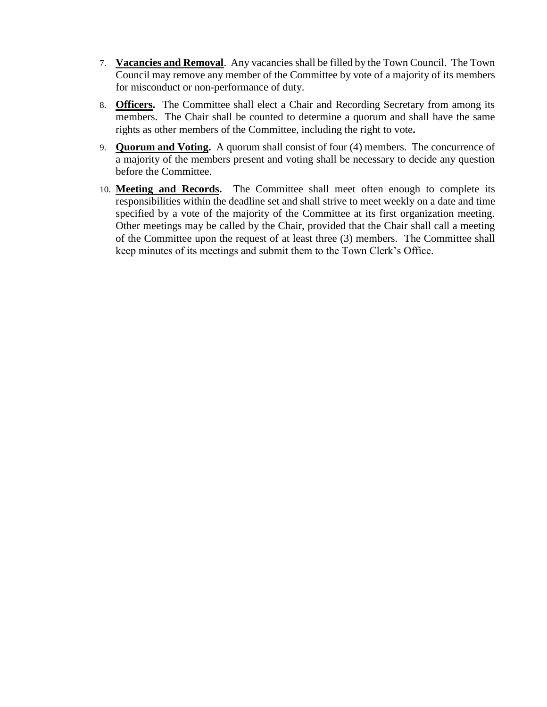- 7. **Vacancies and Removal**. Any vacancies shall be filled by the Town Council. The Town Council may remove any member of the Committee by vote of a majority of its members for misconduct or non-performance of duty.
- 8. **Officers.** The Committee shall elect a Chair and Recording Secretary from among its members. The Chair shall be counted to determine a quorum and shall have the same rights as other members of the Committee, including the right to vote**.**
- 9. **Quorum and Voting.** A quorum shall consist of four (4) members. The concurrence of a majority of the members present and voting shall be necessary to decide any question before the Committee.
- 10. **Meeting and Records.** The Committee shall meet often enough to complete its responsibilities within the deadline set and shall strive to meet weekly on a date and time specified by a vote of the majority of the Committee at its first organization meeting. Other meetings may be called by the Chair, provided that the Chair shall call a meeting of the Committee upon the request of at least three (3) members. The Committee shall keep minutes of its meetings and submit them to the Town Clerk's Office.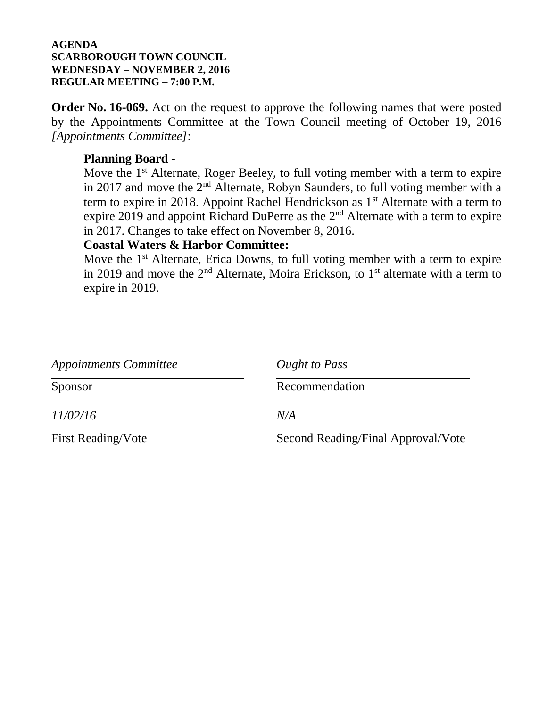**Order No. 16-069.** Act on the request to approve the following names that were posted by the Appointments Committee at the Town Council meeting of October 19, 2016 *[Appointments Committee]*:

### **Planning Board -**

Move the  $1<sup>st</sup>$  Alternate, Roger Beeley, to full voting member with a term to expire in 2017 and move the  $2<sup>nd</sup>$  Alternate, Robyn Saunders, to full voting member with a term to expire in 2018. Appoint Rachel Hendrickson as  $1<sup>st</sup>$  Alternate with a term to expire 2019 and appoint Richard DuPerre as the  $2<sup>nd</sup>$  Alternate with a term to expire in 2017. Changes to take effect on November 8, 2016.

### **Coastal Waters & Harbor Committee:**

Move the  $1<sup>st</sup>$  Alternate, Erica Downs, to full voting member with a term to expire in 2019 and move the  $2<sup>nd</sup>$  Alternate, Moira Erickson, to 1<sup>st</sup> alternate with a term to expire in 2019.

| <i>Appointments Committee</i> | Ought to Pass                      |  |  |  |  |  |
|-------------------------------|------------------------------------|--|--|--|--|--|
| Sponsor                       | Recommendation                     |  |  |  |  |  |
| <i>11/02/16</i>               | N/A                                |  |  |  |  |  |
| <b>First Reading/Vote</b>     | Second Reading/Final Approval/Vote |  |  |  |  |  |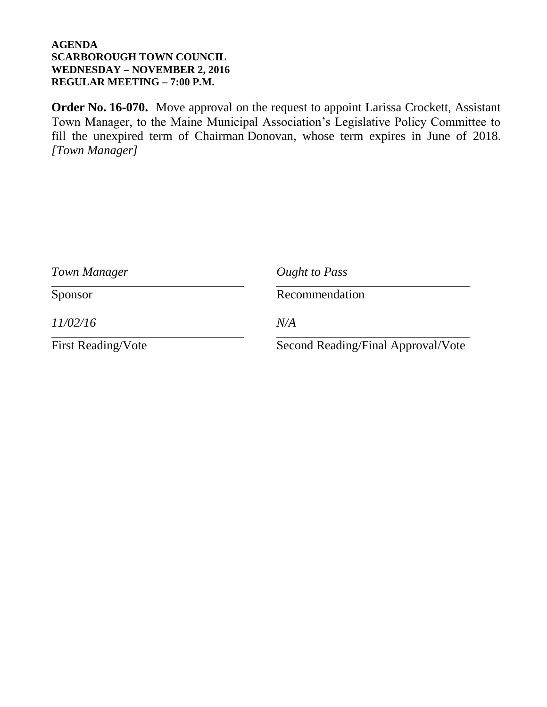**Order No. 16-070.** Move approval on the request to appoint Larissa Crockett, Assistant Town Manager, to the Maine Municipal Association's Legislative Policy Committee to fill the unexpired term of Chairman Donovan, whose term expires in June of 2018. *[Town Manager]*

| Town Manager              | Ought to Pass                      |  |  |  |  |  |
|---------------------------|------------------------------------|--|--|--|--|--|
| Sponsor                   | Recommendation                     |  |  |  |  |  |
| 11/02/16                  | N/A                                |  |  |  |  |  |
| <b>First Reading/Vote</b> | Second Reading/Final Approval/Vote |  |  |  |  |  |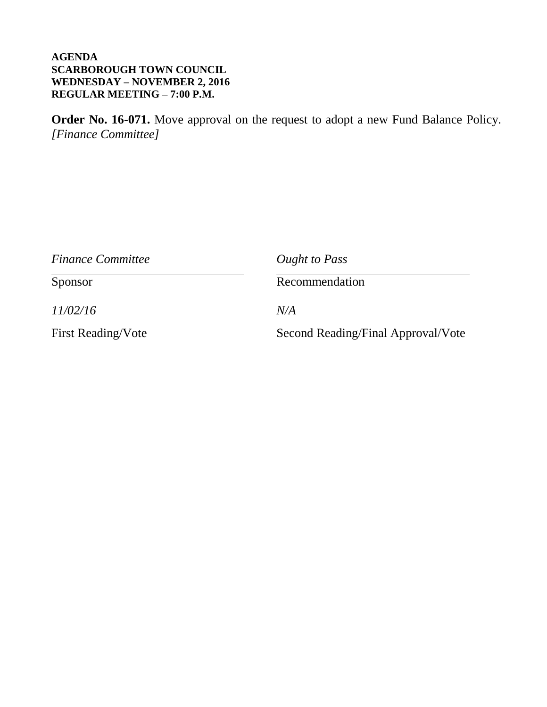**Order No. 16-071.** Move approval on the request to adopt a new Fund Balance Policy. *[Finance Committee]*

| <b>Finance Committee</b>  | Ought to Pass                      |  |  |  |  |
|---------------------------|------------------------------------|--|--|--|--|
| Sponsor                   | Recommendation                     |  |  |  |  |
| 11/02/16                  | N/A                                |  |  |  |  |
| <b>First Reading/Vote</b> | Second Reading/Final Approval/Vote |  |  |  |  |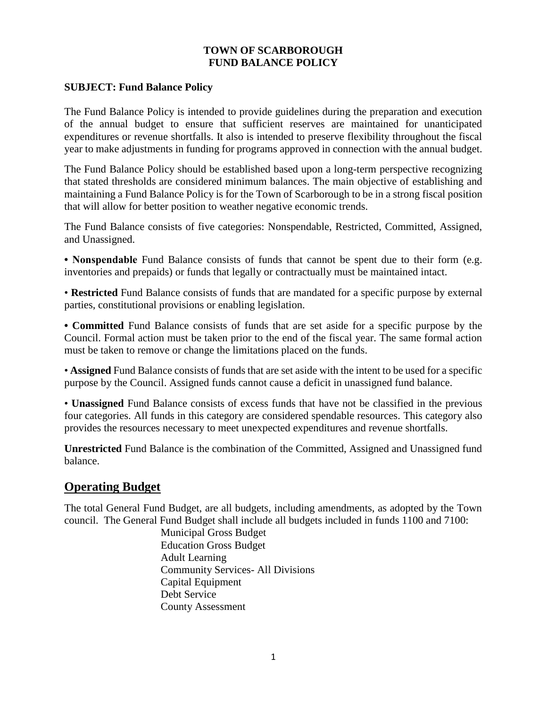#### **TOWN OF SCARBOROUGH FUND BALANCE POLICY**

#### **SUBJECT: Fund Balance Policy**

The Fund Balance Policy is intended to provide guidelines during the preparation and execution of the annual budget to ensure that sufficient reserves are maintained for unanticipated expenditures or revenue shortfalls. It also is intended to preserve flexibility throughout the fiscal year to make adjustments in funding for programs approved in connection with the annual budget.

The Fund Balance Policy should be established based upon a long-term perspective recognizing that stated thresholds are considered minimum balances. The main objective of establishing and maintaining a Fund Balance Policy is for the Town of Scarborough to be in a strong fiscal position that will allow for better position to weather negative economic trends.

The Fund Balance consists of five categories: Nonspendable, Restricted, Committed, Assigned, and Unassigned.

**• Nonspendable** Fund Balance consists of funds that cannot be spent due to their form (e.g. inventories and prepaids) or funds that legally or contractually must be maintained intact.

• **Restricted** Fund Balance consists of funds that are mandated for a specific purpose by external parties, constitutional provisions or enabling legislation.

**• Committed** Fund Balance consists of funds that are set aside for a specific purpose by the Council. Formal action must be taken prior to the end of the fiscal year. The same formal action must be taken to remove or change the limitations placed on the funds.

• **Assigned** Fund Balance consists of funds that are set aside with the intent to be used for a specific purpose by the Council. Assigned funds cannot cause a deficit in unassigned fund balance.

• **Unassigned** Fund Balance consists of excess funds that have not be classified in the previous four categories. All funds in this category are considered spendable resources. This category also provides the resources necessary to meet unexpected expenditures and revenue shortfalls.

**Unrestricted** Fund Balance is the combination of the Committed, Assigned and Unassigned fund balance.

### **Operating Budget**

The total General Fund Budget, are all budgets, including amendments, as adopted by the Town council. The General Fund Budget shall include all budgets included in funds 1100 and 7100:

Municipal Gross Budget Education Gross Budget Adult Learning Community Services- All Divisions Capital Equipment Debt Service County Assessment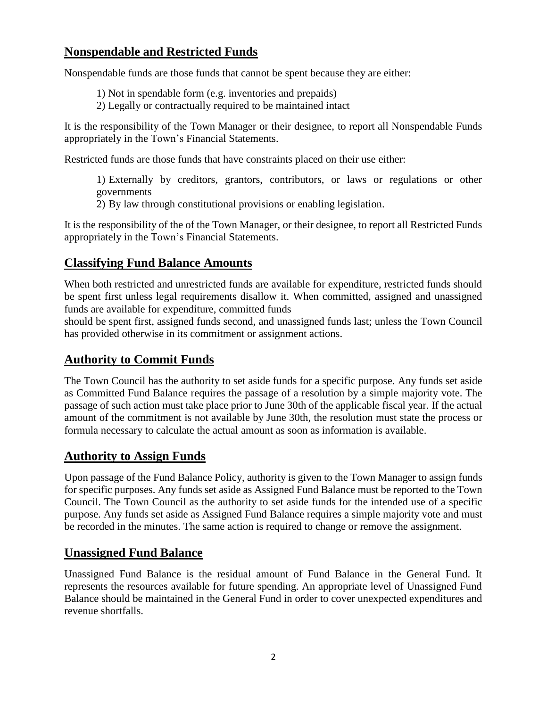### **Nonspendable and Restricted Funds**

Nonspendable funds are those funds that cannot be spent because they are either:

1) Not in spendable form (e.g. inventories and prepaids)

2) Legally or contractually required to be maintained intact

It is the responsibility of the Town Manager or their designee, to report all Nonspendable Funds appropriately in the Town's Financial Statements.

Restricted funds are those funds that have constraints placed on their use either:

1) Externally by creditors, grantors, contributors, or laws or regulations or other governments

2) By law through constitutional provisions or enabling legislation.

It is the responsibility of the of the Town Manager, or their designee, to report all Restricted Funds appropriately in the Town's Financial Statements.

### **Classifying Fund Balance Amounts**

When both restricted and unrestricted funds are available for expenditure, restricted funds should be spent first unless legal requirements disallow it. When committed, assigned and unassigned funds are available for expenditure, committed funds

should be spent first, assigned funds second, and unassigned funds last; unless the Town Council has provided otherwise in its commitment or assignment actions.

### **Authority to Commit Funds**

The Town Council has the authority to set aside funds for a specific purpose. Any funds set aside as Committed Fund Balance requires the passage of a resolution by a simple majority vote. The passage of such action must take place prior to June 30th of the applicable fiscal year. If the actual amount of the commitment is not available by June 30th, the resolution must state the process or formula necessary to calculate the actual amount as soon as information is available.

### **Authority to Assign Funds**

Upon passage of the Fund Balance Policy, authority is given to the Town Manager to assign funds for specific purposes. Any funds set aside as Assigned Fund Balance must be reported to the Town Council. The Town Council as the authority to set aside funds for the intended use of a specific purpose. Any funds set aside as Assigned Fund Balance requires a simple majority vote and must be recorded in the minutes. The same action is required to change or remove the assignment.

### **Unassigned Fund Balance**

Unassigned Fund Balance is the residual amount of Fund Balance in the General Fund. It represents the resources available for future spending. An appropriate level of Unassigned Fund Balance should be maintained in the General Fund in order to cover unexpected expenditures and revenue shortfalls.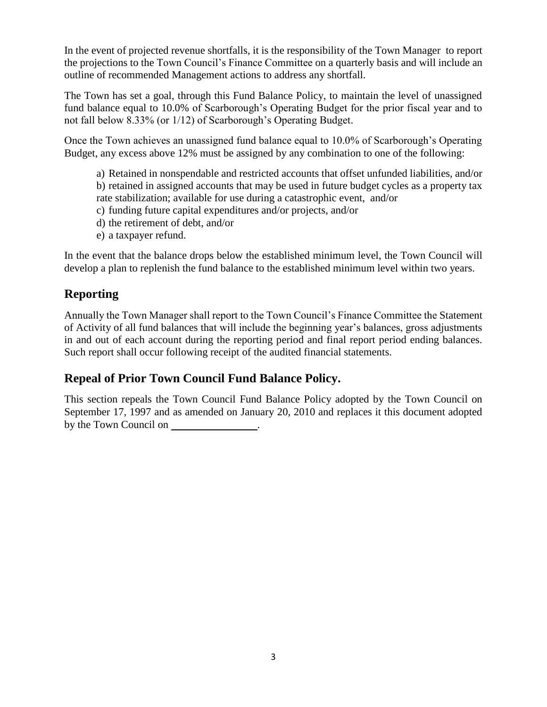In the event of projected revenue shortfalls, it is the responsibility of the Town Manager to report the projections to the Town Council's Finance Committee on a quarterly basis and will include an outline of recommended Management actions to address any shortfall.

The Town has set a goal, through this Fund Balance Policy, to maintain the level of unassigned fund balance equal to 10.0% of Scarborough's Operating Budget for the prior fiscal year and to not fall below 8.33% (or 1/12) of Scarborough's Operating Budget.

Once the Town achieves an unassigned fund balance equal to 10.0% of Scarborough's Operating Budget, any excess above 12% must be assigned by any combination to one of the following:

a) Retained in nonspendable and restricted accounts that offset unfunded liabilities, and/or b) retained in assigned accounts that may be used in future budget cycles as a property tax rate stabilization; available for use during a catastrophic event, and/or

- c) funding future capital expenditures and/or projects, and/or
- d) the retirement of debt, and/or
- e) a taxpayer refund.

In the event that the balance drops below the established minimum level, the Town Council will develop a plan to replenish the fund balance to the established minimum level within two years.

# **Reporting**

Annually the Town Manager shall report to the Town Council's Finance Committee the Statement of Activity of all fund balances that will include the beginning year's balances, gross adjustments in and out of each account during the reporting period and final report period ending balances. Such report shall occur following receipt of the audited financial statements.

## **Repeal of Prior Town Council Fund Balance Policy.**

This section repeals the Town Council Fund Balance Policy adopted by the Town Council on September 17, 1997 and as amended on January 20, 2010 and replaces it this document adopted by the Town Council on .